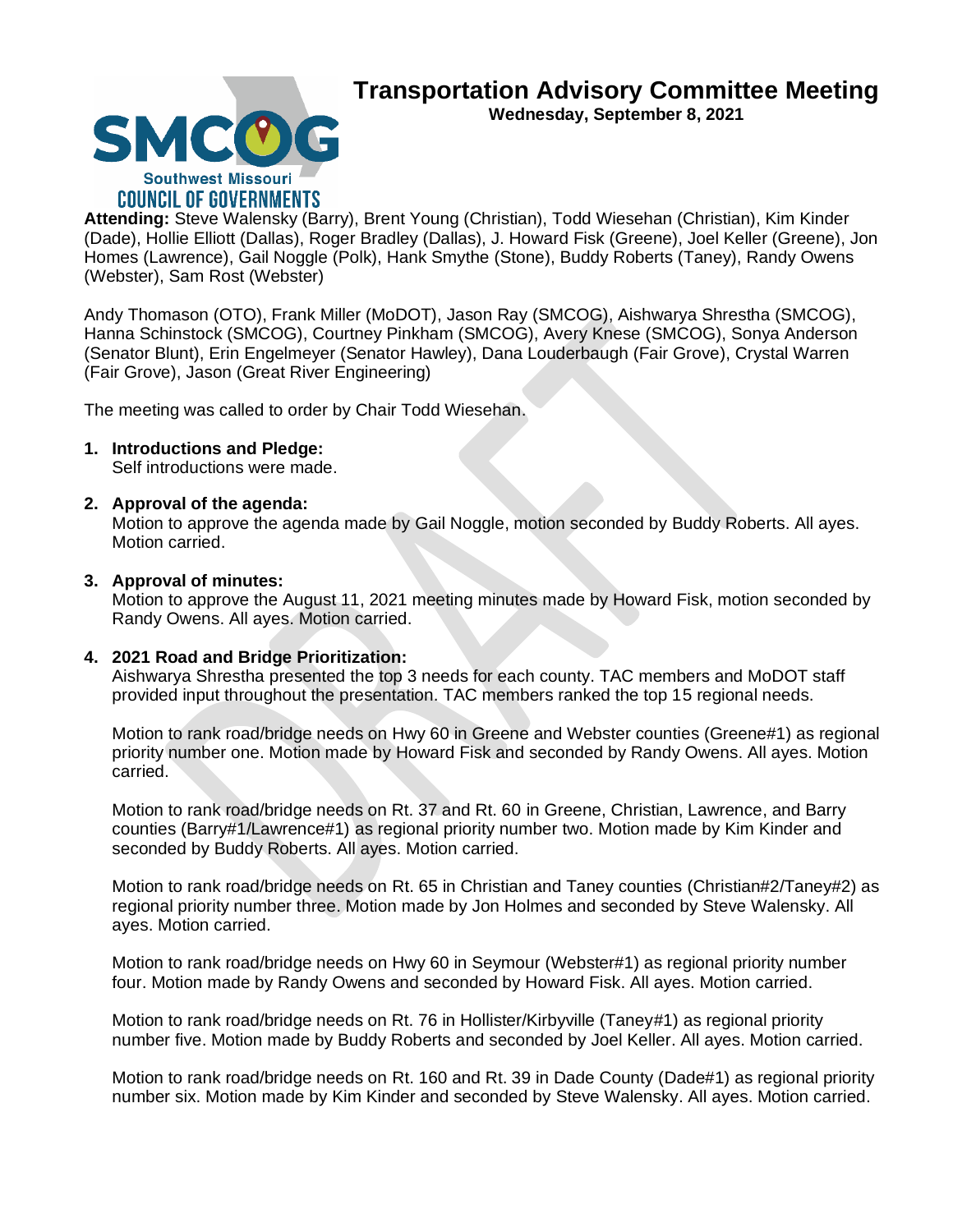

**SMCC Southwest Missouri COUNCIL OF GOVERNMENTS** 

**Attending:** Steve Walensky (Barry), Brent Young (Christian), Todd Wiesehan (Christian), Kim Kinder (Dade), Hollie Elliott (Dallas), Roger Bradley (Dallas), J. Howard Fisk (Greene), Joel Keller (Greene), Jon Homes (Lawrence), Gail Noggle (Polk), Hank Smythe (Stone), Buddy Roberts (Taney), Randy Owens (Webster), Sam Rost (Webster)

Andy Thomason (OTO), Frank Miller (MoDOT), Jason Ray (SMCOG), Aishwarya Shrestha (SMCOG), Hanna Schinstock (SMCOG), Courtney Pinkham (SMCOG), Avery Knese (SMCOG), Sonya Anderson (Senator Blunt), Erin Engelmeyer (Senator Hawley), Dana Louderbaugh (Fair Grove), Crystal Warren (Fair Grove), Jason (Great River Engineering)

The meeting was called to order by Chair Todd Wiesehan.

## **1. Introductions and Pledge:**

Self introductions were made.

## **2. Approval of the agenda:**

Motion to approve the agenda made by Gail Noggle, motion seconded by Buddy Roberts. All ayes. Motion carried.

### **3. Approval of minutes:**

Motion to approve the August 11, 2021 meeting minutes made by Howard Fisk, motion seconded by Randy Owens. All ayes. Motion carried.

#### **4. 2021 Road and Bridge Prioritization:**

Aishwarya Shrestha presented the top 3 needs for each county. TAC members and MoDOT staff provided input throughout the presentation. TAC members ranked the top 15 regional needs.

Motion to rank road/bridge needs on Hwy 60 in Greene and Webster counties (Greene#1) as regional priority number one. Motion made by Howard Fisk and seconded by Randy Owens. All ayes. Motion carried.

Motion to rank road/bridge needs on Rt. 37 and Rt. 60 in Greene, Christian, Lawrence, and Barry counties (Barry#1/Lawrence#1) as regional priority number two. Motion made by Kim Kinder and seconded by Buddy Roberts. All ayes. Motion carried.

Motion to rank road/bridge needs on Rt. 65 in Christian and Taney counties (Christian#2/Taney#2) as regional priority number three. Motion made by Jon Holmes and seconded by Steve Walensky. All ayes. Motion carried.

Motion to rank road/bridge needs on Hwy 60 in Seymour (Webster#1) as regional priority number four. Motion made by Randy Owens and seconded by Howard Fisk. All ayes. Motion carried.

Motion to rank road/bridge needs on Rt. 76 in Hollister/Kirbyville (Taney#1) as regional priority number five. Motion made by Buddy Roberts and seconded by Joel Keller. All ayes. Motion carried.

Motion to rank road/bridge needs on Rt. 160 and Rt. 39 in Dade County (Dade#1) as regional priority number six. Motion made by Kim Kinder and seconded by Steve Walensky. All ayes. Motion carried.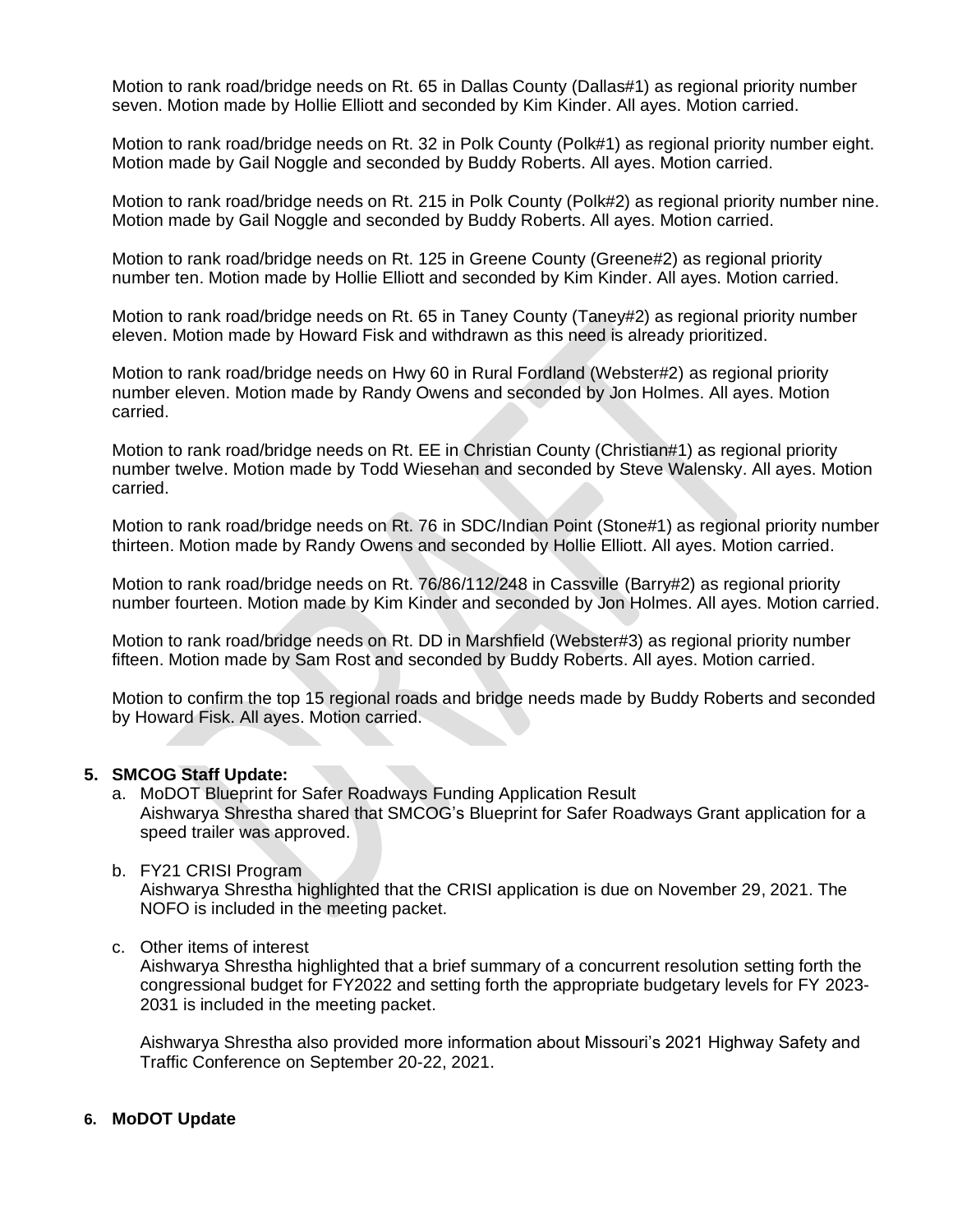Motion to rank road/bridge needs on Rt. 65 in Dallas County (Dallas#1) as regional priority number seven. Motion made by Hollie Elliott and seconded by Kim Kinder. All ayes. Motion carried.

Motion to rank road/bridge needs on Rt. 32 in Polk County (Polk#1) as regional priority number eight. Motion made by Gail Noggle and seconded by Buddy Roberts. All ayes. Motion carried.

Motion to rank road/bridge needs on Rt. 215 in Polk County (Polk#2) as regional priority number nine. Motion made by Gail Noggle and seconded by Buddy Roberts. All ayes. Motion carried.

Motion to rank road/bridge needs on Rt. 125 in Greene County (Greene#2) as regional priority number ten. Motion made by Hollie Elliott and seconded by Kim Kinder. All ayes. Motion carried.

Motion to rank road/bridge needs on Rt. 65 in Taney County (Taney#2) as regional priority number eleven. Motion made by Howard Fisk and withdrawn as this need is already prioritized.

Motion to rank road/bridge needs on Hwy 60 in Rural Fordland (Webster#2) as regional priority number eleven. Motion made by Randy Owens and seconded by Jon Holmes. All ayes. Motion carried.

Motion to rank road/bridge needs on Rt. EE in Christian County (Christian#1) as regional priority number twelve. Motion made by Todd Wiesehan and seconded by Steve Walensky. All ayes. Motion carried.

Motion to rank road/bridge needs on Rt. 76 in SDC/Indian Point (Stone#1) as regional priority number thirteen. Motion made by Randy Owens and seconded by Hollie Elliott. All ayes. Motion carried.

Motion to rank road/bridge needs on Rt. 76/86/112/248 in Cassville (Barry#2) as regional priority number fourteen. Motion made by Kim Kinder and seconded by Jon Holmes. All ayes. Motion carried.

Motion to rank road/bridge needs on Rt. DD in Marshfield (Webster#3) as regional priority number fifteen. Motion made by Sam Rost and seconded by Buddy Roberts. All ayes. Motion carried.

Motion to confirm the top 15 regional roads and bridge needs made by Buddy Roberts and seconded by Howard Fisk. All ayes. Motion carried.

#### **5. SMCOG Staff Update:**

- a. MoDOT Blueprint for Safer Roadways Funding Application Result Aishwarya Shrestha shared that SMCOG's Blueprint for Safer Roadways Grant application for a speed trailer was approved.
- b. FY21 CRISI Program

Aishwarya Shrestha highlighted that the CRISI application is due on November 29, 2021. The NOFO is included in the meeting packet.

c. Other items of interest

Aishwarya Shrestha highlighted that a brief summary of a concurrent resolution setting forth the congressional budget for FY2022 and setting forth the appropriate budgetary levels for FY 2023- 2031 is included in the meeting packet.

Aishwarya Shrestha also provided more information about Missouri's 2021 Highway Safety and Traffic Conference on September 20-22, 2021.

#### **6. MoDOT Update**